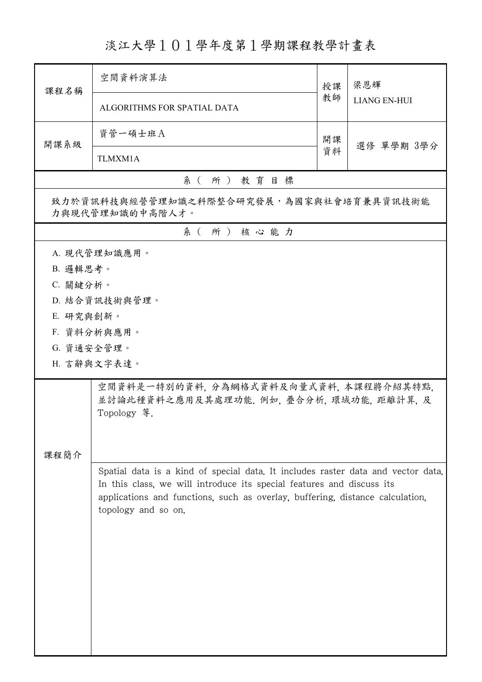## 淡江大學101學年度第1學期課程教學計畫表

| 課程名稱                                                       | 空間資料演算法                                                                                                                                                                                                                                                           | 授課                     | 梁恩輝                 |  |  |  |
|------------------------------------------------------------|-------------------------------------------------------------------------------------------------------------------------------------------------------------------------------------------------------------------------------------------------------------------|------------------------|---------------------|--|--|--|
|                                                            | ALGORITHMS FOR SPATIAL DATA                                                                                                                                                                                                                                       |                        | <b>LIANG EN-HUI</b> |  |  |  |
| 開課系級                                                       | 資管一碩士班A                                                                                                                                                                                                                                                           | 開課<br>選修 單學期 3學分<br>資料 |                     |  |  |  |
|                                                            | TLMXM1A                                                                                                                                                                                                                                                           |                        |                     |  |  |  |
| 系(所)教育目標                                                   |                                                                                                                                                                                                                                                                   |                        |                     |  |  |  |
| 致力於資訊科技與經營管理知識之科際整合研究發展,為國家與社會培育兼具資訊技術能<br>力與現代管理知識的中高階人才。 |                                                                                                                                                                                                                                                                   |                        |                     |  |  |  |
| 系(所)核心能力                                                   |                                                                                                                                                                                                                                                                   |                        |                     |  |  |  |
|                                                            | A. 現代管理知識應用。                                                                                                                                                                                                                                                      |                        |                     |  |  |  |
| B. 邏輯思考。                                                   |                                                                                                                                                                                                                                                                   |                        |                     |  |  |  |
| C. 關鍵分析。                                                   |                                                                                                                                                                                                                                                                   |                        |                     |  |  |  |
|                                                            | D. 結合資訊技術與管理。                                                                                                                                                                                                                                                     |                        |                     |  |  |  |
| E. 研究與創新。                                                  |                                                                                                                                                                                                                                                                   |                        |                     |  |  |  |
|                                                            | F. 資料分析與應用。                                                                                                                                                                                                                                                       |                        |                     |  |  |  |
| G. 資通安全管理。                                                 |                                                                                                                                                                                                                                                                   |                        |                     |  |  |  |
|                                                            | H. 言辭與文字表達。                                                                                                                                                                                                                                                       |                        |                     |  |  |  |
|                                                            | 空間資料是一特別的資料, 分為網格式資料及向量式資料, 本課程將介紹其特點,<br>並討論此種資料之應用及其處理功能. 例如, 疊合分析, 環域功能, 距離計算, 及<br>Topology 等.                                                                                                                                                                |                        |                     |  |  |  |
| 課程簡介                                                       |                                                                                                                                                                                                                                                                   |                        |                     |  |  |  |
|                                                            | Spatial data is a kind of special data. It includes raster data and vector data.<br>In this class, we will introduce its special features and discuss its<br>applications and functions, such as overlay, buffering, distance calculation,<br>topology and so on. |                        |                     |  |  |  |
|                                                            |                                                                                                                                                                                                                                                                   |                        |                     |  |  |  |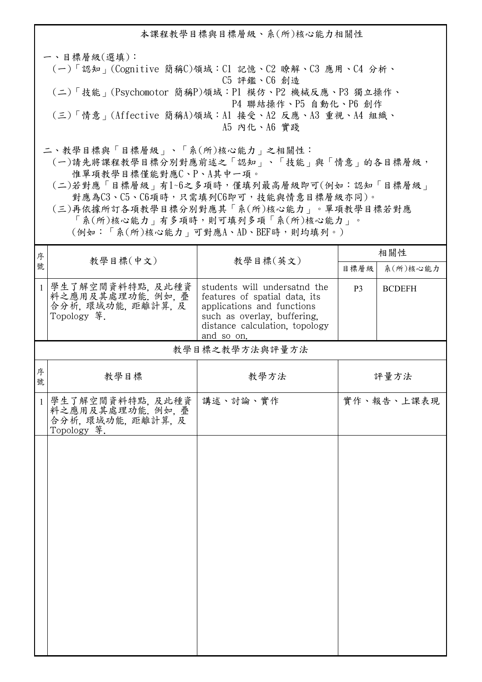本課程教學目標與目標層級、系(所)核心能力相關性 一、目標層級(選填): (一)「認知」(Cognitive 簡稱C)領域:C1 記憶、C2 瞭解、C3 應用、C4 分析、 C5 評鑑、C6 創造 (二)「技能」(Psychomotor 簡稱P)領域:P1 模仿、P2 機械反應、P3 獨立操作、 P4 聯結操作、P5 自動化、P6 創作 (三)「情意」(Affective 簡稱A)領域:A1 接受、A2 反應、A3 重視、A4 組織、 A5 內化、A6 實踐 二、教學目標與「目標層級」、「系(所)核心能力」之相關性:

 (一)請先將課程教學目標分別對應前述之「認知」、「技能」與「情意」的各目標層級, 惟單項教學目標僅能對應C、P、A其中一項。

 (二)若對應「目標層級」有1~6之多項時,僅填列最高層級即可(例如:認知「目標層級」 對應為C3、C5、C6項時,只需填列C6即可,技能與情意目標層級亦同)。

 (三)再依據所訂各項教學目標分別對應其「系(所)核心能力」。單項教學目標若對應 「系(所)核心能力」有多項時,則可填列多項「系(所)核心能力」。

<sup>分</sup> | 教學目標(中文) | 教學目標(英文) <sup>序</sup> 相關性 目標層級 系(所)核心能力 1 學生了解空間資料特點, 及此種資 料之應用及其處理功能. 例如, 疊 合分析, 環域功能, 距離計算, 及 Topology 等. students will undersatnd the features of spatial data, its applications and functions such as overlay, buffering, distance calculation, topology and so on. P3 BCDEFH 教學目標 教學方法 <sup>序</sup> 號 教學目標之教學方法與評量方法 評量方法 1 學生了解空間資料特點, 及此種資 料之應用及其處理功能. 例如, 疊 合分析, 環域功能, 距離計算, 及 Topology 等. 講述、討論、實作 |實作、報告、上課表現

(例如:「系(所)核心能力」可對應A、AD、BEF時,則均填列。)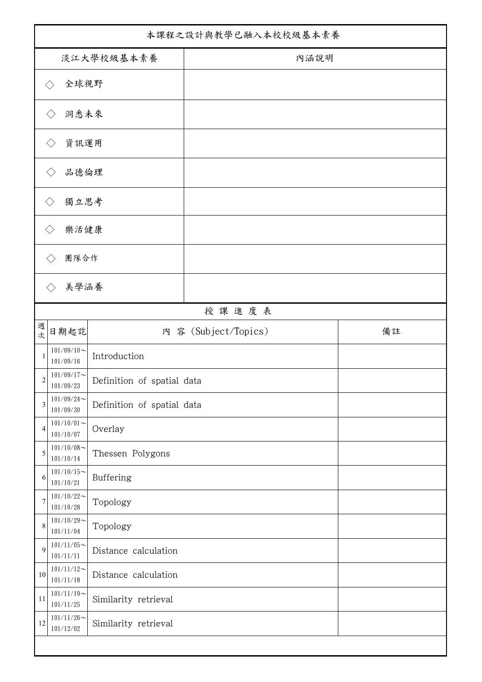| 本課程之設計與教學已融入本校校級基本素養        |                               |                            |                      |    |  |  |
|-----------------------------|-------------------------------|----------------------------|----------------------|----|--|--|
| 淡江大學校級基本素養                  |                               |                            | 內涵說明                 |    |  |  |
| 全球視野<br>$\langle \ \rangle$ |                               |                            |                      |    |  |  |
| 洞悉未來<br>$\langle \ \rangle$ |                               |                            |                      |    |  |  |
| 資訊運用<br>$\langle$ $\rangle$ |                               |                            |                      |    |  |  |
|                             | 品德倫理                          |                            |                      |    |  |  |
| 獨立思考<br>$\langle$ $\rangle$ |                               |                            |                      |    |  |  |
| 樂活健康                        |                               |                            |                      |    |  |  |
| 團隊合作                        |                               |                            |                      |    |  |  |
|                             |                               |                            |                      |    |  |  |
|                             | 美學涵養<br>$\langle \rangle$     |                            |                      |    |  |  |
| 週                           | 日期起訖                          |                            | 授課進度表                | 備註 |  |  |
| 次                           | $101/09/10$ ~                 |                            | 內 容 (Subject/Topics) |    |  |  |
| 1                           | 101/09/16                     | Introduction               |                      |    |  |  |
| $\overline{c}$              | $101/09/17$ ~<br>$101/09/23$  | Definition of spatial data |                      |    |  |  |
| 3                           | $101/09/24$ ~<br>101/09/30    | Definition of spatial data |                      |    |  |  |
| 4                           | $101/10/01 \sim$<br>101/10/07 | Overlay                    |                      |    |  |  |
| 5                           | $101/10/08$ ~<br>101/10/14    | Thessen Polygons           |                      |    |  |  |
| 6                           | $101/10/15$ ~<br>101/10/21    | Buffering                  |                      |    |  |  |
| 7                           | $101/10/22$ ~<br>101/10/28    | Topology                   |                      |    |  |  |
| 8                           | $101/10/29$ ~<br>101/11/04    | Topology                   |                      |    |  |  |
| 9                           | $101/11/05$ ~<br>101/11/11    | Distance calculation       |                      |    |  |  |
| $10\,$                      | $101/11/12$ ~<br>101/11/18    | Distance calculation       |                      |    |  |  |
| 11                          | $101/11/19$ ~<br>101/11/25    | Similarity retrieval       |                      |    |  |  |
| 12                          | $101/11/26$ ~<br>101/12/02    | Similarity retrieval       |                      |    |  |  |
|                             |                               |                            |                      |    |  |  |